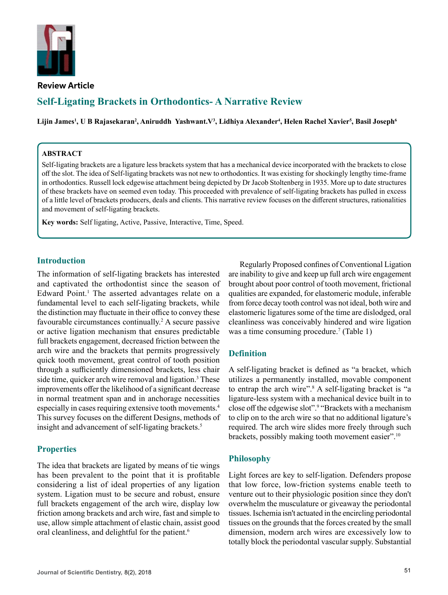

**Review Article**

# **Self-Ligating Brackets in Orthodontics- A Narrative Review**

**Lijin James<sup>1</sup> , U B Rajasekaran2 , Aniruddh Yashwant.V3 , Lidhiya Alexander<sup>4</sup> , Helen Rachel Xavier<sup>5</sup> , Basil Joseph<sup>6</sup>**

### **ABSTRACT**

Self-ligating brackets are a ligature less brackets system that has a mechanical device incorporated with the brackets to close off the slot. The idea of Self-ligating brackets was not new to orthodontics. It was existing for shockingly lengthy time-frame in orthodontics. Russell lock edgewise attachment being depicted by Dr Jacob Stoltenberg in 1935. More up to date structures of these brackets have on seemed even today. This proceeded with prevalence of self-ligating brackets has pulled in excess of a little level of brackets producers, deals and clients. This narrative review focuses on the different structures, rationalities and movement of self-ligating brackets.

**Key words:** Self ligating, Active, Passive, Interactive, Time, Speed.

### **Introduction**

The information of self-ligating brackets has interested and captivated the orthodontist since the season of Edward Point.<sup>1</sup> The asserted advantages relate on a fundamental level to each self-ligating brackets, while the distinction may fluctuate in their office to convey these favourable circumstances continually.<sup>2</sup> A secure passive or active ligation mechanism that ensures predictable full brackets engagement, decreased friction between the arch wire and the brackets that permits progressively quick tooth movement, great control of tooth position through a sufficiently dimensioned brackets, less chair side time, quicker arch wire removal and ligation.<sup>3</sup> These improvements offer the likelihood of a significant decrease in normal treatment span and in anchorage necessities especially in cases requiring extensive tooth movements.<sup>4</sup> This survey focuses on the different Designs, methods of insight and advancement of self-ligating brackets.<sup>5</sup>

### **Properties**

The idea that brackets are ligated by means of tie wings has been prevalent to the point that it is profitable considering a list of ideal properties of any ligation system. Ligation must to be secure and robust, ensure full brackets engagement of the arch wire, display low friction among brackets and arch wire, fast and simple to use, allow simple attachment of elastic chain, assist good oral cleanliness, and delightful for the patient.<sup>6</sup>

Regularly Proposed confines of Conventional Ligation are inability to give and keep up full arch wire engagement brought about poor control of tooth movement, frictional qualities are expanded, for elastomeric module, inferable from force decay tooth control was not ideal, both wire and elastomeric ligatures some of the time are dislodged, oral cleanliness was conceivably hindered and wire ligation was a time consuming procedure.<sup>7</sup> (Table 1)

### **Definition**

A self-ligating bracket is defined as "a bracket, which utilizes a permanently installed, movable component to entrap the arch wire".<sup>8</sup> A self-ligating bracket is "a ligature-less system with a mechanical device built in to close off the edgewise slot".<sup>9</sup> "Brackets with a mechanism to clip on to the arch wire so that no additional ligature's required. The arch wire slides more freely through such brackets, possibly making tooth movement easier".10

## **Philosophy**

Light forces are key to self-ligation. Defenders propose that low force, low-friction systems enable teeth to venture out to their physiologic position since they don't overwhelm the musculature or giveaway the periodontal tissues. Ischemia isn't actuated in the encircling periodontal tissues on the grounds that the forces created by the small dimension, modern arch wires are excessively low to totally block the periodontal vascular supply. Substantial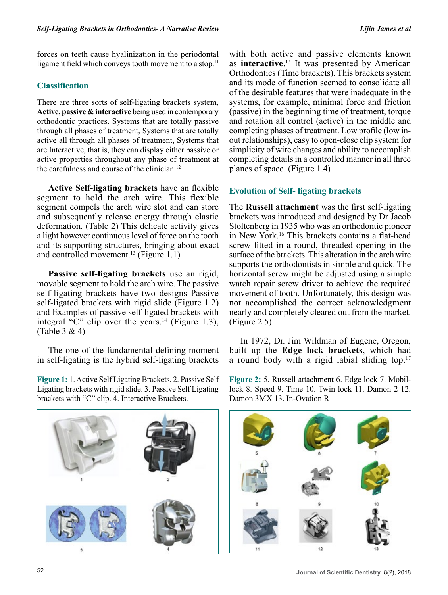forces on teeth cause hyalinization in the periodontal ligament field which conveys tooth movement to a stop.<sup>11</sup>

# **Classification**

There are three sorts of self-ligating brackets system, **Active, passive & interactive** being used in contemporary orthodontic practices. Systems that are totally passive through all phases of treatment, Systems that are totally active all through all phases of treatment, Systems that are Interactive, that is, they can display either passive or active properties throughout any phase of treatment at the carefulness and course of the clinician.12

**Active Self-ligating brackets** have an flexible segment to hold the arch wire. This flexible segment compels the arch wire slot and can store and subsequently release energy through elastic deformation. (Table 2) This delicate activity gives a light however continuous level of force on the tooth and its supporting structures, bringing about exact and controlled movement.<sup>13</sup> (Figure 1.1)

**Passive self-ligating brackets** use an rigid, movable segment to hold the arch wire. The passive self-ligating brackets have two designs Passive self-ligated brackets with rigid slide (Figure 1.2) and Examples of passive self-ligated brackets with integral "C" clip over the years.<sup>14</sup> (Figure 1.3), (Table 3 & 4)

The one of the fundamental defining moment in self-ligating is the hybrid self-ligating brackets

**Figure 1:** 1. Active Self Ligating Brackets. 2. Passive Self Ligating brackets with rigid slide. 3. Passive Self Ligating brackets with "C" clip. 4. Interactive Brackets.

with both active and passive elements known as **interactive**. 15 It was presented by American Orthodontics (Time brackets). This brackets system and its mode of function seemed to consolidate all of the desirable features that were inadequate in the systems, for example, minimal force and friction (passive) in the beginning time of treatment, torque and rotation all control (active) in the middle and completing phases of treatment. Low profile (low inout relationships), easy to open-close clip system for simplicity of wire changes and ability to accomplish completing details in a controlled manner in all three planes of space. (Figure 1.4)

# **Evolution of Self- ligating brackets**

The **Russell attachment** was the first self-ligating brackets was introduced and designed by Dr Jacob Stoltenberg in 1935 who was an orthodontic pioneer in New York.<sup>16</sup> This brackets contains a flat-head screw fitted in a round, threaded opening in the surface of the brackets. This alteration in the arch wire supports the orthodontists in simple and quick. The horizontal screw might be adjusted using a simple watch repair screw driver to achieve the required movement of tooth. Unfortunately, this design was not accomplished the correct acknowledgment nearly and completely cleared out from the market. (Figure 2.5)

In 1972, Dr. Jim Wildman of Eugene, Oregon, built up the **Edge lock brackets**, which had a round body with a rigid labial sliding top.<sup>17</sup>



**Figure 2:** 5. Russell attachment 6. Edge lock 7. Mobillock 8. Speed 9. Time 10. Twin lock 11. Damon 2 12. Damon 3MX 13. In-Ovation R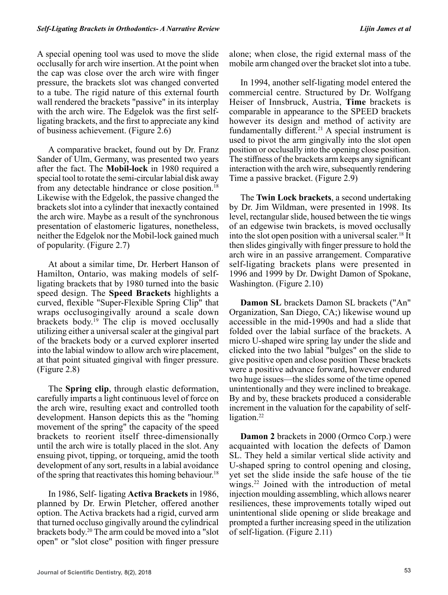A special opening tool was used to move the slide occlusally for arch wire insertion. At the point when the cap was close over the arch wire with finger pressure, the brackets slot was changed converted to a tube. The rigid nature of this external fourth wall rendered the brackets "passive" in its interplay with the arch wire. The Edgelok was the first selfligating brackets, and the first to appreciate any kind of business achievement. (Figure 2.6)

A comparative bracket, found out by Dr. Franz Sander of Ulm, Germany, was presented two years after the fact. The **Mobil-lock** in 1980 required a special tool to rotate the semi-circular labial disk away from any detectable hindrance or close position.18 Likewise with the Edgelok, the passive changed the brackets slot into a cylinder that inexactly contained the arch wire. Maybe as a result of the synchronous presentation of elastomeric ligatures, nonetheless, neither the Edgelok nor the Mobil-lock gained much of popularity. (Figure 2.7)

At about a similar time, Dr. Herbert Hanson of Hamilton, Ontario, was making models of selfligating brackets that by 1980 turned into the basic speed design. The **Speed Brackets** highlights a curved, flexible "Super-Flexible Spring Clip" that wraps occlusogingivally around a scale down brackets body.19 The clip is moved occlusally utilizing either a universal scaler at the gingival part of the brackets body or a curved explorer inserted into the labial window to allow arch wire placement, at that point situated gingival with finger pressure. (Figure 2.8)

The **Spring clip**, through elastic deformation, carefully imparts a light continuous level of force on the arch wire, resulting exact and controlled tooth development. Hanson depicts this as the "homing movement of the spring" the capacity of the speed brackets to reorient itself three-dimensionally until the arch wire is totally placed in the slot. Any ensuing pivot, tipping, or torqueing, amid the tooth development of any sort, results in a labial avoidance of the spring that reactivates this homing behaviour.<sup>18</sup>

In 1986, Self- ligating **Activa Brackets** in 1986, planned by Dr. Erwin Pletcher, offered another option. The Activa brackets had a rigid, curved arm that turned occluso gingivally around the cylindrical brackets body.20 The arm could be moved into a "slot open" or "slot close" position with finger pressure alone; when close, the rigid external mass of the mobile arm changed over the bracket slot into a tube.

In 1994, another self-ligating model entered the commercial centre. Structured by Dr. Wolfgang Heiser of Innsbruck, Austria, **Time** brackets is comparable in appearance to the SPEED brackets however its design and method of activity are fundamentally different.<sup>21</sup> A special instrument is used to pivot the arm gingivally into the slot open position or occlusally into the opening close position. The stiffness of the brackets arm keeps any significant interaction with the arch wire, subsequently rendering Time a passive bracket. (Figure 2.9)

The **Twin Lock brackets**, a second undertaking by Dr. Jim Wildman, were presented in 1998. Its level, rectangular slide, housed between the tie wings of an edgewise twin brackets, is moved occlusally into the slot open position with a universal scaler.18 It then slides gingivally with finger pressure to hold the arch wire in an passive arrangement. Comparative self-ligating brackets plans were presented in 1996 and 1999 by Dr. Dwight Damon of Spokane, Washington. (Figure 2.10)

**Damon SL** brackets Damon SL brackets ("An" Organization, San Diego, CA;) likewise wound up accessible in the mid-1990s and had a slide that folded over the labial surface of the brackets. A micro U-shaped wire spring lay under the slide and clicked into the two labial "bulges" on the slide to give positive open and close position These brackets were a positive advance forward, however endured two huge issues—the slides some of the time opened unintentionally and they were inclined to breakage. By and by, these brackets produced a considerable increment in the valuation for the capability of selfligation.<sup>22</sup>

**Damon 2** brackets in 2000 (Ormco Corp.) were acquainted with location the defects of Damon SL. They held a similar vertical slide activity and U-shaped spring to control opening and closing, yet set the slide inside the safe house of the tie wings.22 Joined with the introduction of metal injection moulding assembling, which allows nearer resiliences, these improvements totally wiped out unintentional slide opening or slide breakage and prompted a further increasing speed in the utilization of self-ligation. (Figure 2.11)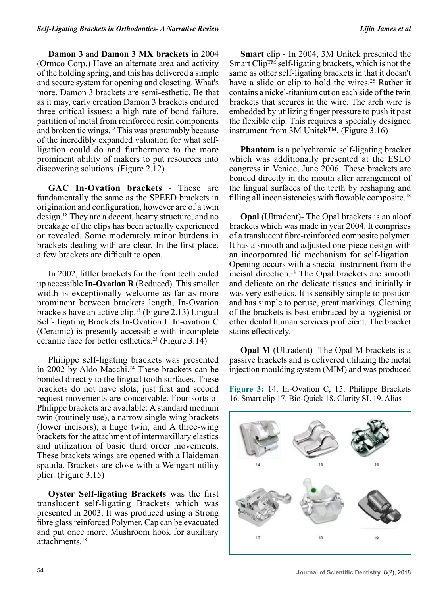**Damon 3** and **Damon 3 MX brackets** in 2004 (Ormco Corp.) Have an alternate area and activity of the holding spring, and this has delivered a simple and secure system for opening and closeting. What's more, Damon 3 brackets are semi-esthetic. Be that as it may, early creation Damon 3 brackets endured three critical issues: a high rate of bond failure, partition of metal from reinforced resin components and broken tie wings.<sup>22</sup> This was presumably because of the incredibly expanded valuation for what selfligation could do and furthermore to the more prominent ability of makers to put resources into discovering solutions. (Figure 2.12)

**GAC In-Ovation brackets** - These are fundamentally the same as the SPEED brackets in origination and configuration, however are of a twin design.18 They are a decent, hearty structure, and no breakage of the clips has been actually experienced or revealed. Some moderately minor burdens in brackets dealing with are clear. In the first place, a few brackets are difficult to open.

In 2002, littler brackets for the front teeth ended up accessible **In-Ovation R** (Reduced). This smaller width is exceptionally welcome as far as more prominent between brackets length, In-Ovation brackets have an active clip.18 (Figure 2.13) Lingual Self- ligating Brackets In-Ovation L In-ovation C (Ceramic) is presently accessible with incomplete ceramic face for better esthetics.23 (Figure 3.14)

Philippe self-ligating brackets was presented in 2002 by Aldo Macchi.<sup>24</sup> These brackets can be bonded directly to the lingual tooth surfaces. These brackets do not have slots, just first and second request movements are conceivable. Four sorts of Philippe brackets are available: A standard medium twin (routinely use), a narrow single-wing brackets (lower incisors), a huge twin, and A three-wing brackets for the attachment of intermaxillary elastics and utilization of basic third order movements. These brackets wings are opened with a Haideman spatula. Brackets are close with a Weingart utility plier. (Figure 3.15)

**Oyster Self-ligating Brackets** was the first translucent self-ligating Brackets which was presented in 2003. It was produced using a Strong fibre glass reinforced Polymer. Cap can be evacuated and put once more. Mushroom hook for auxiliary attachments.18

**Smart** clip - In 2004, 3M Unitek presented the Smart Clip™ self-ligating brackets, which is not the same as other self-ligating brackets in that it doesn't have a slide or clip to hold the wires.<sup>25</sup> Rather it contains a nickel-titanium cut on each side of the twin brackets that secures in the wire. The arch wire is embedded by utilizing finger pressure to push it past the flexible clip. This requires a specially designed instrument from 3M Unitek™. (Figure 3.16)

**Phantom** is a polychromic self-ligating bracket which was additionally presented at the ESLO congress in Venice, June 2006. These brackets are bonded directly in the mouth after arrangement of the lingual surfaces of the teeth by reshaping and filling all inconsistencies with flowable composite.<sup>18</sup>

**Opal** (Ultradent)- The Opal brackets is an aloof brackets which was made in year 2004. It comprises of a translucent fibre-reinforced composite polymer. It has a smooth and adjusted one-piece design with an incorporated lid mechanism for self-ligation. Opening occurs with a special instrument from the incisal direction.18 The Opal brackets are smooth and delicate on the delicate tissues and initially it was very esthetics. It is sensibly simple to position and has simple to peruse, great markings. Cleaning of the brackets is best embraced by a hygienist or other dental human services proficient. The bracket stains effectively.

**Opal M** (Ultradent)- The Opal M brackets is a passive brackets and is delivered utilizing the metal injection moulding system (MIM) and was produced

**Figure 3:** 14. In-Ovation C, 15. Philippe Brackets 16. Smart clip 17. Bio-Quick 18. Clarity SL 19. Alias

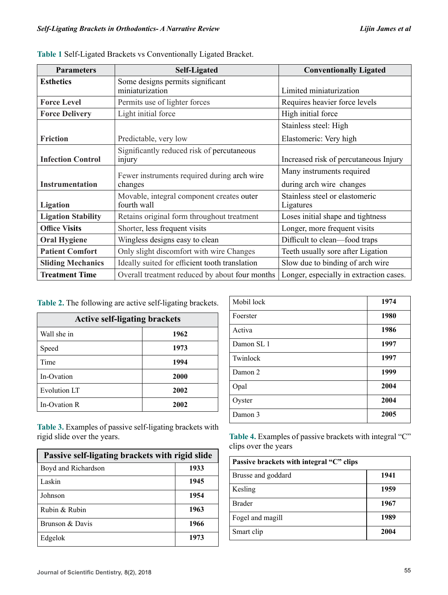| <b>Parameters</b>         | <b>Self-Ligated</b>                            | <b>Conventionally Ligated</b>           |
|---------------------------|------------------------------------------------|-----------------------------------------|
| <b>Esthetics</b>          | Some designs permits significant               |                                         |
|                           | miniaturization                                | Limited miniaturization                 |
| <b>Force Level</b>        | Permits use of lighter forces                  | Requires heavier force levels           |
| <b>Force Delivery</b>     | Light initial force                            | High initial force                      |
|                           |                                                | Stainless steel: High                   |
| <b>Friction</b>           | Predictable, very low                          | Elastomeric: Very high                  |
|                           | Significantly reduced risk of percutaneous     |                                         |
| <b>Infection Control</b>  | injury                                         | Increased risk of percutaneous Injury   |
|                           | Fewer instruments required during arch wire    | Many instruments required               |
| <b>Instrumentation</b>    | changes                                        | during arch wire changes                |
|                           | Movable, integral component creates outer      | Stainless steel or elastomeric          |
| <b>Ligation</b>           | fourth wall                                    | Ligatures                               |
| <b>Ligation Stability</b> | Retains original form throughout treatment     | Loses initial shape and tightness       |
| <b>Office Visits</b>      | Shorter, less frequent visits                  | Longer, more frequent visits            |
| <b>Oral Hygiene</b>       | Wingless designs easy to clean                 | Difficult to clean—food traps           |
| <b>Patient Comfort</b>    | Only slight discomfort with wire Changes       | Teeth usually sore after Ligation       |
| <b>Sliding Mechanics</b>  | Ideally suited for efficient tooth translation | Slow due to binding of arch wire        |
| <b>Treatment Time</b>     | Overall treatment reduced by about four months | Longer, especially in extraction cases. |

|  | Table 1 Self-Ligated Brackets vs Conventionally Ligated Bracket. |  |
|--|------------------------------------------------------------------|--|
|  |                                                                  |  |

**Table 2.** The following are active self-ligating brackets.

| <b>Active self-ligating brackets</b> |      |
|--------------------------------------|------|
| Wall she in                          | 1962 |
| Speed                                | 1973 |
| Time                                 | 1994 |
| In-Ovation                           | 2000 |
| <b>Evolution LT</b>                  | 2002 |
| In-Ovation R                         | 2002 |

**Table 3.** Examples of passive self-ligating brackets with rigid slide over the years.

| Passive self-ligating brackets with rigid slide |      |
|-------------------------------------------------|------|
| Boyd and Richardson                             | 1933 |
| Laskin                                          | 1945 |
| Johnson                                         | 1954 |
| Rubin & Rubin                                   | 1963 |
| Brunson & Davis                                 | 1966 |
| Edgelok                                         | 1973 |

| Mobil lock | 1974 |
|------------|------|
| Foerster   | 1980 |
| Activa     | 1986 |
| Damon SL 1 | 1997 |
| Twinlock   | 1997 |
| Damon 2    | 1999 |
| Opal       | 2004 |
| Oyster     | 2004 |
| Damon 3    | 2005 |

**Table 4.** Examples of passive brackets with integral "C" clips over the years

| Passive brackets with integral "C" clips |      |
|------------------------------------------|------|
| Brusse and goddard                       | 1941 |
| Kesling                                  | 1959 |
| <b>Brader</b>                            | 1967 |
| Fogel and magill                         | 1989 |
| Smart clip                               | 2004 |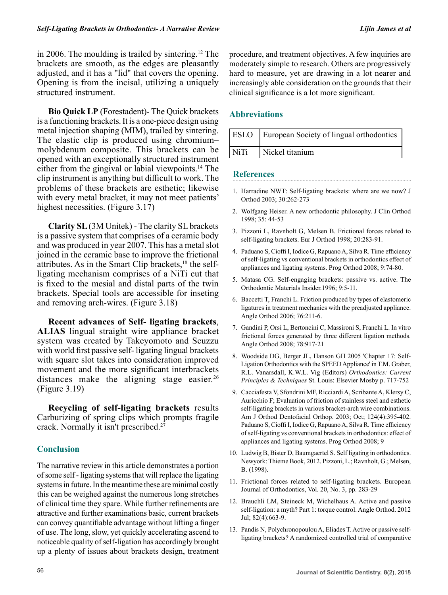in 2006. The moulding is trailed by sintering.<sup>12</sup> The brackets are smooth, as the edges are pleasantly adjusted, and it has a "lid" that covers the opening. Opening is from the incisal, utilizing a uniquely structured instrument.

**Bio Quick LP** (Forestadent)- The Quick brackets is a functioning brackets. It is a one-piece design using metal injection shaping (MIM), trailed by sintering. The elastic clip is produced using chromium– molybdenum composite. This brackets can be opened with an exceptionally structured instrument either from the gingival or labial viewpoints.<sup>14</sup> The clip instrument is anything but difficult to work. The problems of these brackets are esthetic; likewise with every metal bracket, it may not meet patients' highest necessities. (Figure 3.17)

**Clarity SL** (3M Unitek) - The clarity SL brackets is a passive system that comprises of a ceramic body and was produced in year 2007. This has a metal slot joined in the ceramic base to improve the frictional attributes. As in the Smart Clip brackets,<sup>18</sup> the selfligating mechanism comprises of a NiTi cut that is fixed to the mesial and distal parts of the twin brackets. Special tools are accessible for inseting and removing arch-wires. (Figure 3.18)

**Recent advances of Self- ligating brackets**, **ALIAS** lingual straight wire appliance bracket system was created by Takeyomoto and Scuzzu with world first passive self- ligating lingual brackets with square slot takes into consideration improved movement and the more significant interbrackets distances make the aligning stage easier.<sup>26</sup> (Figure 3.19)

**Recycling of self-ligating brackets** results Carburizing of spring clips which prompts fragile crack. Normally it isn't prescribed.<sup>27</sup>

## **Conclusion**

The narrative review in this article demonstrates a portion of some self - ligating systems that will replace the ligating systems in future. In the meantime these are minimal costly this can be weighed against the numerous long stretches of clinical time they spare. While further refinements are attractive and further examinations basic, current brackets can convey quantifiable advantage without lifting a finger of use. The long, slow, yet quickly accelerating ascend to noticeable quality of self-ligation has accordingly brought up a plenty of issues about brackets design, treatment procedure, and treatment objectives. A few inquiries are moderately simple to research. Others are progressively hard to measure, yet are drawing in a lot nearer and increasingly able consideration on the grounds that their clinical significance is a lot more significant.

## **Abbreviations**

|      | <b>ESLO</b> European Society of lingual orthodontics |
|------|------------------------------------------------------|
| NiTi | Nickel titanium                                      |

### **References**

- 1. Harradine NWT: Self-ligating brackets: where are we now? J Orthod 2003; 30:262-273
- 2. Wolfgang Heiser. A new orthodontic philosophy. J Clin Orthod 1998; 35: 44-53
- 3. Pizzoni L, Ravnholt G, Melsen B. Frictional forces related to self-ligating brackets. Eur J Orthod 1998; 20:283-91.
- 4. Paduano S, Cioffi I, Iodice G, Rapuano A, Silva R. Time efficiency of self-ligating vs conventional brackets in orthodontics effect of appliances and ligating systems. Prog Orthod 2008; 9:74-80.
- 5. Matasa CG. Self-engaging brackets: passive vs. active. The Orthodontic Materials Insider.1996; 9:5-11.
- 6. Baccetti T, Franchi L. Friction produced by types of elastomeric ligatures in treatment mechanics with the preadjusted appliance. Angle Orthod 2006; 76:211-6.
- 7. Gandini P, Orsi L, Bertoncini C, Massironi S, Franchi L. In vitro frictional forces generated by three different ligation methods. Angle Orthod 2008; 78:917-21
- 8. Woodside DG, Berger JL, Hanson GH 2005 'Chapter 17: Self-Ligation Orthodontics with the SPEED Appliance' in T.M. Graber, R.L. Vanarsdall, K.W.L. Vig (Editors) *Orthodontics: Current Principles & Techniques* St. Louis: Elsevier Mosby p. 717-752
- 9. Cacciafesta V, Sfondrini MF, Ricciardi A, Scribante A, Klersy C, Auricchio F; Evaluation of friction of stainless steel and esthetic self-ligating brackets in various bracket-arch wire combinations. Am J Orthod Dentofacial Orthop. 2003; Oct; 124(4):395-402. Paduano S, Cioffi I, Iodice G, Rapuano A, Silva R. Time efficiency of self-ligating vs conventional brackets in orthodontics: effect of appliances and ligating systems. Prog Orthod 2008; 9
- 10. Ludwig B, Bister D, Baumgaertel S. Self ligating in orthodontics. Newyork: Thieme Book, 2012. Pizzoni, L.; Ravnholt, G.; Melsen, B. (1998).
- 11. Frictional forces related to self-ligating brackets. European Journal of Orthodontics, Vol. 20, No. 3, pp. 283-29
- 12. Brauchli LM, Steineck M, Wichelhaus A. Active and passive self-ligation: a myth? Part 1: torque control. Angle Orthod. 2012 Jul; 82(4):663-9.
- 13. Pandis N, Polychronopoulou A, Eliades T. Active or passive selfligating brackets? A randomized controlled trial of comparative